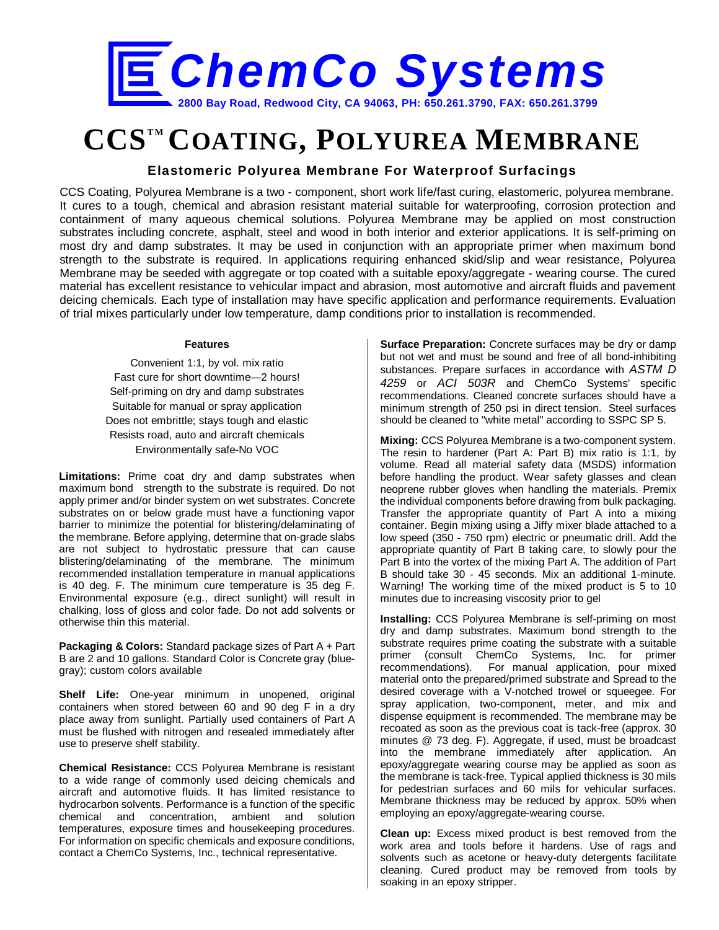

# **CCSTM COATING, POLYUREA MEMBRANE**

## **Elastomeric Polyurea Membrane For Waterproof Surfacings**

CCS Coating, Polyurea Membrane is a two - component, short work life/fast curing, elastomeric, polyurea membrane. It cures to a tough, chemical and abrasion resistant material suitable for waterproofing, corrosion protection and containment of many aqueous chemical solutions. Polyurea Membrane may be applied on most construction substrates including concrete, asphalt, steel and wood in both interior and exterior applications. It is self-priming on most dry and damp substrates. It may be used in conjunction with an appropriate primer when maximum bond strength to the substrate is required. In applications requiring enhanced skid/slip and wear resistance, Polyurea Membrane may be seeded with aggregate or top coated with a suitable epoxy/aggregate - wearing course. The cured material has excellent resistance to vehicular impact and abrasion, most automotive and aircraft fluids and pavement deicing chemicals. Each type of installation may have specific application and performance requirements. Evaluation of trial mixes particularly under low temperature, damp conditions prior to installation is recommended.

#### **Features**

Convenient 1:1, by vol. mix ratio Fast cure for short downtime—2 hours! Self-priming on dry and damp substrates Suitable for manual or spray application Does not embrittle; stays tough and elastic Resists road, auto and aircraft chemicals Environmentally safe-No VOC

**Limitations:** Prime coat dry and damp substrates when maximum bond strength to the substrate is required. Do not apply primer and/or binder system on wet substrates. Concrete substrates on or below grade must have a functioning vapor barrier to minimize the potential for blistering/delaminating of the membrane. Before applying, determine that on-grade slabs are not subject to hydrostatic pressure that can cause blistering/delaminating of the membrane. The minimum recommended installation temperature in manual applications is 40 deg. F. The minimum cure temperature is 35 deg F. Environmental exposure (e.g., direct sunlight) will result in chalking, loss of gloss and color fade. Do not add solvents or otherwise thin this material.

**Packaging & Colors:** Standard package sizes of Part A + Part B are 2 and 10 gallons. Standard Color is Concrete gray (bluegray); custom colors available

**Shelf Life:** One-year minimum in unopened, original containers when stored between 60 and 90 deg F in a dry place away from sunlight. Partially used containers of Part A must be flushed with nitrogen and resealed immediately after use to preserve shelf stability.

**Chemical Resistance:** CCS Polyurea Membrane is resistant to a wide range of commonly used deicing chemicals and aircraft and automotive fluids. It has limited resistance to hydrocarbon solvents. Performance is a function of the specific chemical and concentration, ambient and solution temperatures, exposure times and housekeeping procedures. For information on specific chemicals and exposure conditions, contact a ChemCo Systems, Inc., technical representative.

**Surface Preparation:** Concrete surfaces may be dry or damp but not wet and must be sound and free of all bond-inhibiting substances. Prepare surfaces in accordance with *ASTM D 4259* or *ACI 503R* and ChemCo Systems' specific recommendations. Cleaned concrete surfaces should have a minimum strength of 250 psi in direct tension. Steel surfaces should be cleaned to "white metal" according to SSPC SP 5.

**Mixing:** CCS Polyurea Membrane is a two-component system. The resin to hardener (Part A: Part B) mix ratio is 1:1, by volume. Read all material safety data (MSDS) information before handling the product. Wear safety glasses and clean neoprene rubber gloves when handling the materials. Premix the individual components before drawing from bulk packaging. Transfer the appropriate quantity of Part A into a mixing container. Begin mixing using a Jiffy mixer blade attached to a low speed (350 - 750 rpm) electric or pneumatic drill. Add the appropriate quantity of Part B taking care, to slowly pour the Part B into the vortex of the mixing Part A. The addition of Part B should take 30 - 45 seconds. Mix an additional 1-minute. Warning! The working time of the mixed product is 5 to 10 minutes due to increasing viscosity prior to gel

**Installing:** CCS Polyurea Membrane is self-priming on most dry and damp substrates. Maximum bond strength to the substrate requires prime coating the substrate with a suitable primer (consult ChemCo Systems, Inc. for primer recommendations). For manual application, pour mixed material onto the prepared/primed substrate and Spread to the desired coverage with a V-notched trowel or squeegee. For spray application, two-component, meter, and mix and dispense equipment is recommended. The membrane may be recoated as soon as the previous coat is tack-free (approx. 30 minutes @ 73 deg. F). Aggregate, if used, must be broadcast into the membrane immediately after application. An epoxy/aggregate wearing course may be applied as soon as the membrane is tack-free. Typical applied thickness is 30 mils for pedestrian surfaces and 60 mils for vehicular surfaces. Membrane thickness may be reduced by approx. 50% when employing an epoxy/aggregate-wearing course.

**Clean up:** Excess mixed product is best removed from the work area and tools before it hardens. Use of rags and solvents such as acetone or heavy-duty detergents facilitate cleaning. Cured product may be removed from tools by soaking in an epoxy stripper.